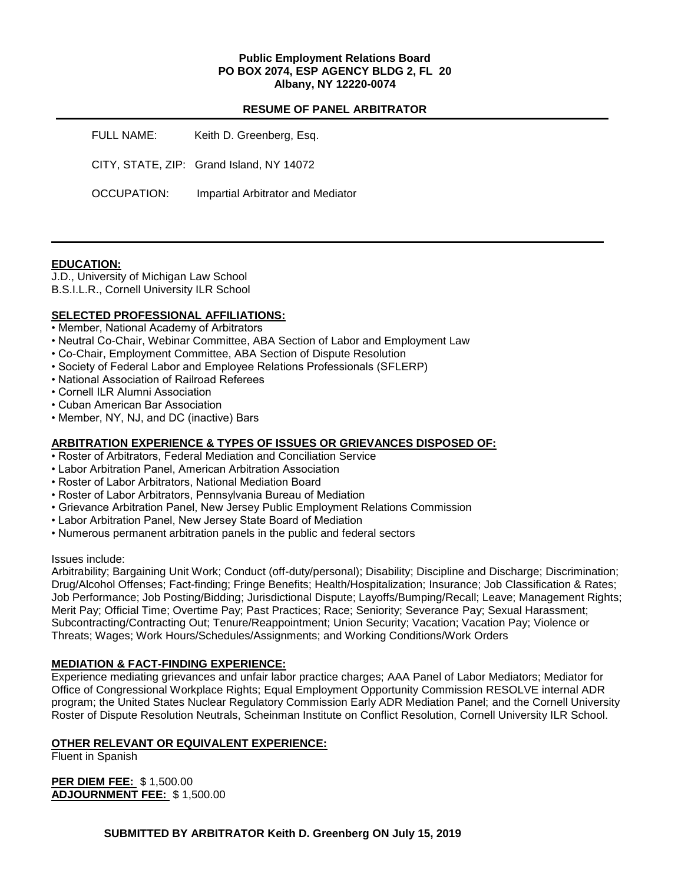## **Public Employment Relations Board PO BOX 2074, ESP AGENCY BLDG 2, FL 20 Albany, NY 12220-0074**

#### **RESUME OF PANEL ARBITRATOR**

FULL NAME: Keith D. Greenberg, Esg. CITY, STATE, ZIP: Grand Island, NY 14072 OCCUPATION: Impartial Arbitrator and Mediator

## **EDUCATION:**

J.D., University of Michigan Law School B.S.I.L.R., Cornell University ILR School

# **SELECTED PROFESSIONAL AFFILIATIONS:**

- Member, National Academy of Arbitrators
- Neutral Co-Chair, Webinar Committee, ABA Section of Labor and Employment Law
- Co-Chair, Employment Committee, ABA Section of Dispute Resolution
- Society of Federal Labor and Employee Relations Professionals (SFLERP)
- National Association of Railroad Referees
- Cornell ILR Alumni Association
- Cuban American Bar Association
- Member, NY, NJ, and DC (inactive) Bars

# **ARBITRATION EXPERIENCE & TYPES OF ISSUES OR GRIEVANCES DISPOSED OF:**

- Roster of Arbitrators, Federal Mediation and Conciliation Service
- Labor Arbitration Panel, American Arbitration Association
- Roster of Labor Arbitrators, National Mediation Board
- Roster of Labor Arbitrators, Pennsylvania Bureau of Mediation
- Grievance Arbitration Panel, New Jersey Public Employment Relations Commission
- Labor Arbitration Panel, New Jersey State Board of Mediation
- Numerous permanent arbitration panels in the public and federal sectors

#### Issues include:

Arbitrability; Bargaining Unit Work; Conduct (off-duty/personal); Disability; Discipline and Discharge; Discrimination; Drug/Alcohol Offenses; Fact-finding; Fringe Benefits; Health/Hospitalization; Insurance; Job Classification & Rates; Job Performance; Job Posting/Bidding; Jurisdictional Dispute; Layoffs/Bumping/Recall; Leave; Management Rights; Merit Pay; Official Time; Overtime Pay; Past Practices; Race; Seniority; Severance Pay; Sexual Harassment; Subcontracting/Contracting Out; Tenure/Reappointment; Union Security; Vacation; Vacation Pay; Violence or Threats; Wages; Work Hours/Schedules/Assignments; and Working Conditions/Work Orders

## **MEDIATION & FACT-FINDING EXPERIENCE:**

Experience mediating grievances and unfair labor practice charges; AAA Panel of Labor Mediators; Mediator for Office of Congressional Workplace Rights; Equal Employment Opportunity Commission RESOLVE internal ADR program; the United States Nuclear Regulatory Commission Early ADR Mediation Panel; and the Cornell University Roster of Dispute Resolution Neutrals, Scheinman Institute on Conflict Resolution, Cornell University ILR School.

## **OTHER RELEVANT OR EQUIVALENT EXPERIENCE:**

Fluent in Spanish

**PER DIEM FEE:** \$ 1,500.00 **ADJOURNMENT FEE:** \$ 1,500.00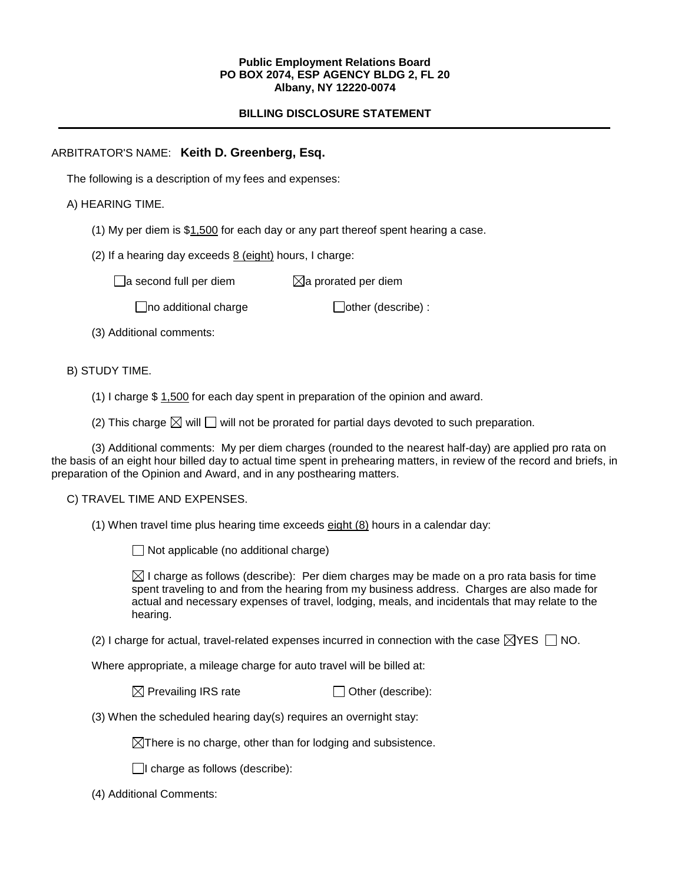#### **Public Employment Relations Board PO BOX 2074, ESP AGENCY BLDG 2, FL 20 Albany, NY 12220-0074**

# **BILLING DISCLOSURE STATEMENT**

# ARBITRATOR'S NAME: **Keith D. Greenberg, Esq.**

The following is a description of my fees and expenses:

# A) HEARING TIME.

- (1) My per diem is \$1,500 for each day or any part thereof spent hearing a case.
- (2) If a hearing day exceeds 8 (eight) hours, I charge:

 $\Box$ a second full per diem  $\boxtimes$ a prorated per diem

 $\Box$ no additional charge  $\Box$ other (describe) :

(3) Additional comments:

# B) STUDY TIME.

- (1) I charge \$ 1,500 for each day spent in preparation of the opinion and award.
- (2) This charge  $\boxtimes$  will  $\Box$  will not be prorated for partial days devoted to such preparation.

(3) Additional comments: My per diem charges (rounded to the nearest half-day) are applied pro rata on the basis of an eight hour billed day to actual time spent in prehearing matters, in review of the record and briefs, in preparation of the Opinion and Award, and in any posthearing matters.

## C) TRAVEL TIME AND EXPENSES.

(1) When travel time plus hearing time exceeds eight (8) hours in a calendar day:

 $\Box$  Not applicable (no additional charge)

 $\boxtimes$  I charge as follows (describe): Per diem charges may be made on a pro rata basis for time spent traveling to and from the hearing from my business address. Charges are also made for actual and necessary expenses of travel, lodging, meals, and incidentals that may relate to the hearing.

(2) I charge for actual, travel-related expenses incurred in connection with the case  $\boxtimes$ YES  $\Box$  NO.

Where appropriate, a mileage charge for auto travel will be billed at:

| $\boxtimes$ Prevailing IRS rate | $\Box$ Other (describe): |
|---------------------------------|--------------------------|
|---------------------------------|--------------------------|

(3) When the scheduled hearing day(s) requires an overnight stay:

 $\boxtimes$ There is no charge, other than for lodging and subsistence.

 $\Box$ I charge as follows (describe):

(4) Additional Comments: